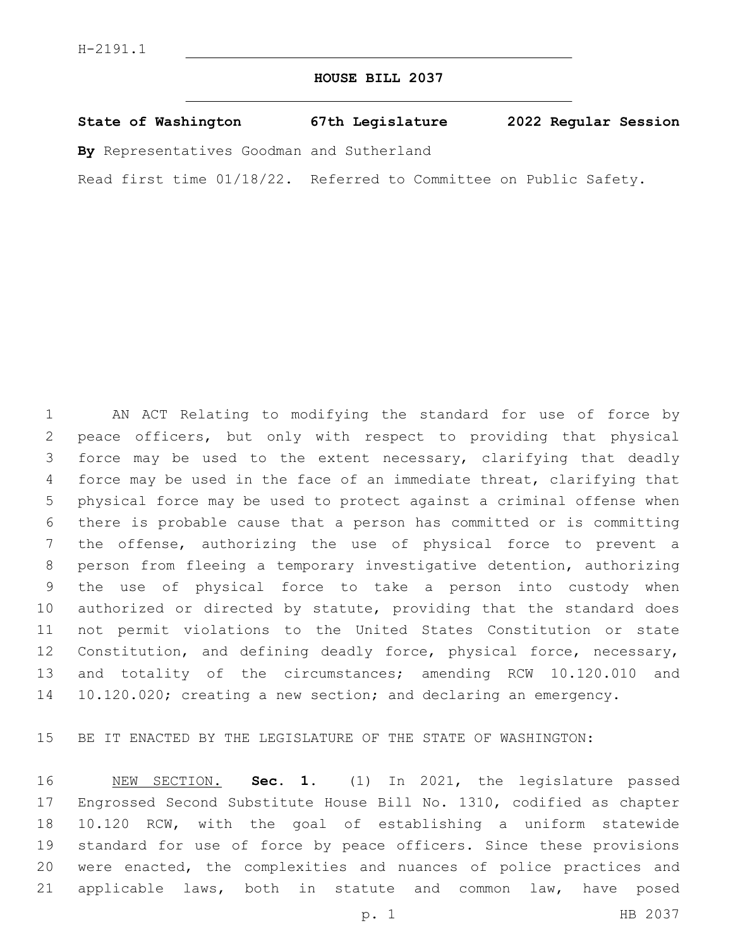## **HOUSE BILL 2037**

|  | State of Washington | 67th Legislature | 2022 Regular Session |  |
|--|---------------------|------------------|----------------------|--|
|  |                     |                  |                      |  |

**By** Representatives Goodman and Sutherland

Read first time 01/18/22. Referred to Committee on Public Safety.

 AN ACT Relating to modifying the standard for use of force by peace officers, but only with respect to providing that physical force may be used to the extent necessary, clarifying that deadly force may be used in the face of an immediate threat, clarifying that physical force may be used to protect against a criminal offense when there is probable cause that a person has committed or is committing the offense, authorizing the use of physical force to prevent a person from fleeing a temporary investigative detention, authorizing the use of physical force to take a person into custody when authorized or directed by statute, providing that the standard does not permit violations to the United States Constitution or state 12 Constitution, and defining deadly force, physical force, necessary, and totality of the circumstances; amending RCW 10.120.010 and 10.120.020; creating a new section; and declaring an emergency.

BE IT ENACTED BY THE LEGISLATURE OF THE STATE OF WASHINGTON:

 NEW SECTION. **Sec. 1.** (1) In 2021, the legislature passed Engrossed Second Substitute House Bill No. 1310, codified as chapter 10.120 RCW, with the goal of establishing a uniform statewide standard for use of force by peace officers. Since these provisions were enacted, the complexities and nuances of police practices and 21 applicable laws, both in statute and common law, have posed

p. 1 HB 2037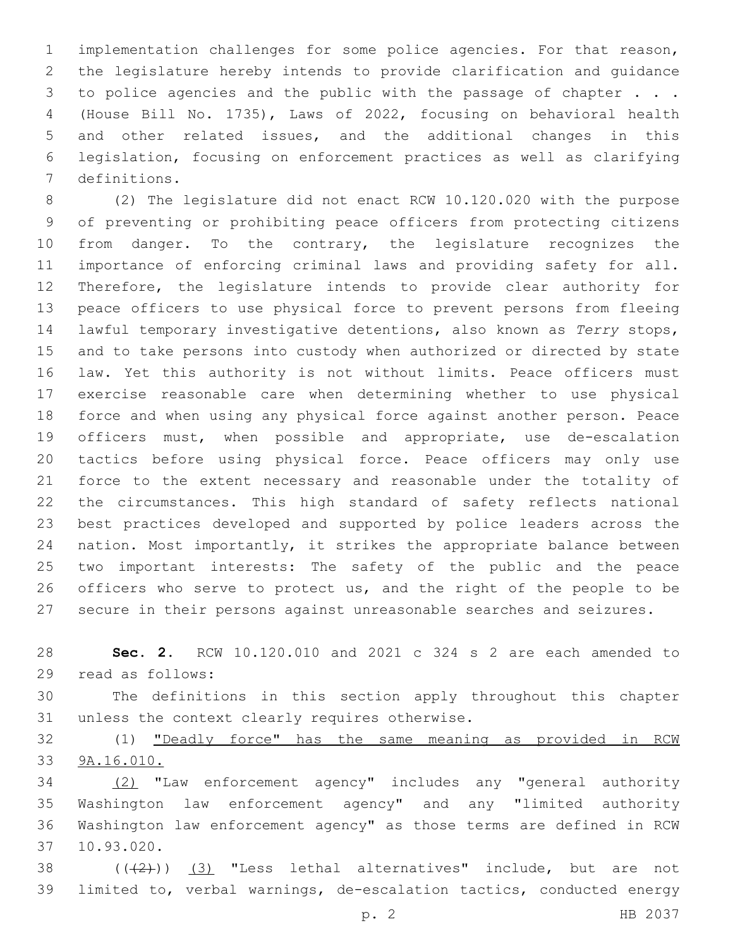implementation challenges for some police agencies. For that reason, the legislature hereby intends to provide clarification and guidance 3 to police agencies and the public with the passage of chapter . . . (House Bill No. 1735), Laws of 2022, focusing on behavioral health and other related issues, and the additional changes in this legislation, focusing on enforcement practices as well as clarifying definitions. 7

 (2) The legislature did not enact RCW 10.120.020 with the purpose of preventing or prohibiting peace officers from protecting citizens from danger. To the contrary, the legislature recognizes the importance of enforcing criminal laws and providing safety for all. Therefore, the legislature intends to provide clear authority for peace officers to use physical force to prevent persons from fleeing lawful temporary investigative detentions, also known as *Terry* stops, and to take persons into custody when authorized or directed by state law. Yet this authority is not without limits. Peace officers must exercise reasonable care when determining whether to use physical force and when using any physical force against another person. Peace officers must, when possible and appropriate, use de-escalation tactics before using physical force. Peace officers may only use force to the extent necessary and reasonable under the totality of the circumstances. This high standard of safety reflects national best practices developed and supported by police leaders across the nation. Most importantly, it strikes the appropriate balance between two important interests: The safety of the public and the peace 26 officers who serve to protect us, and the right of the people to be secure in their persons against unreasonable searches and seizures.

 **Sec. 2.** RCW 10.120.010 and 2021 c 324 s 2 are each amended to 29 read as follows:

 The definitions in this section apply throughout this chapter 31 unless the context clearly requires otherwise.

 (1) "Deadly force" has the same meaning as provided in RCW 9A.16.010.

 (2) "Law enforcement agency" includes any "general authority Washington law enforcement agency" and any "limited authority Washington law enforcement agency" as those terms are defined in RCW 10.93.020.37

38  $((+2+))$   $(3)$  "Less lethal alternatives" include, but are not limited to, verbal warnings, de-escalation tactics, conducted energy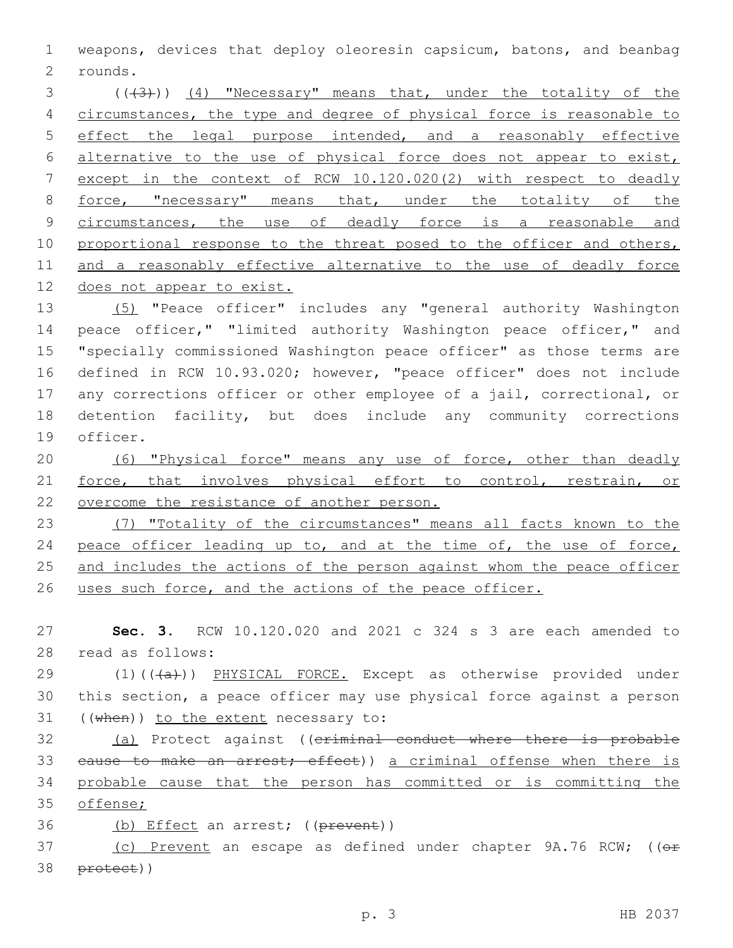1 weapons, devices that deploy oleoresin capsicum, batons, and beanbag rounds.2

3 (((3))) (4) "Necessary" means that, under the totality of the 4 circumstances, the type and degree of physical force is reasonable to 5 effect the legal purpose intended, and a reasonably effective 6 alternative to the use of physical force does not appear to exist, 7 except in the context of RCW 10.120.020(2) with respect to deadly 8 force, "necessary" means that, under the totality of the 9 circumstances, the use of deadly force is a reasonable and 10 proportional response to the threat posed to the officer and others, 11 and a reasonably effective alternative to the use of deadly force 12 does not appear to exist.

 (5) "Peace officer" includes any "general authority Washington peace officer," "limited authority Washington peace officer," and "specially commissioned Washington peace officer" as those terms are defined in RCW 10.93.020; however, "peace officer" does not include any corrections officer or other employee of a jail, correctional, or detention facility, but does include any community corrections 19 officer.

20 (6) "Physical force" means any use of force, other than deadly 21 force, that involves physical effort to control, restrain, or 22 overcome the resistance of another person.

23 (7) "Totality of the circumstances" means all facts known to the 24 peace officer leading up to, and at the time of, the use of force, 25 and includes the actions of the person against whom the peace officer 26 uses such force, and the actions of the peace officer.

27 **Sec. 3.** RCW 10.120.020 and 2021 c 324 s 3 are each amended to 28 read as follows:

29 (1)(((a))) PHYSICAL FORCE. Except as otherwise provided under 30 this section, a peace officer may use physical force against a person  $31$  ((when)) to the extent necessary to:

32 (a) Protect against ((criminal conduct where there is probable 33 eause to make an arrest; effect)) a criminal offense when there is 34 probable cause that the person has committed or is committing the 35 offense;

36 (b) Effect an arrest; ((prevent))

37 (c) Prevent an escape as defined under chapter 9A.76 RCW; ((or 38 protect))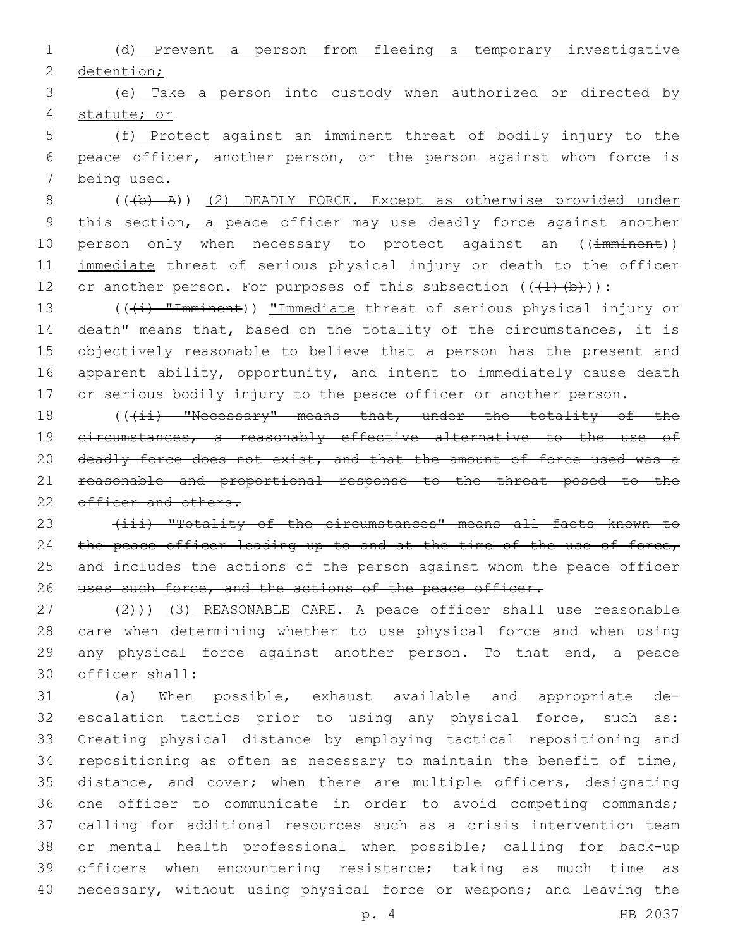1 (d) Prevent a person from fleeing a temporary investigative 2 detention;

3 (e) Take a person into custody when authorized or directed by 4 statute; or

5 (f) Protect against an imminent threat of bodily injury to the 6 peace officer, another person, or the person against whom force is 7 being used.

8 (((b) A)) (2) DEADLY FORCE. Except as otherwise provided under 9 this section, a peace officer may use deadly force against another 10 person only when necessary to protect against an ((imminent)) 11 immediate threat of serious physical injury or death to the officer 12 or another person. For purposes of this subsection  $((+1)+(b))$ :

13 (((i) "Imminent)) "Immediate threat of serious physical injury or death" means that, based on the totality of the circumstances, it is objectively reasonable to believe that a person has the present and apparent ability, opportunity, and intent to immediately cause death or serious bodily injury to the peace officer or another person.

18 (((ii) "Necessary" means that, under the totality of the 19 circumstances, a reasonably effective alternative to the use of 20 deadly force does not exist, and that the amount of force used was a 21 reasonable and proportional response to the threat posed to the 22 officer and others.

23 (iii) "Totality of the circumstances" means all facts known to 24 the peace officer leading up to and at the time of the use of force, 25 and includes the actions of the person against whom the peace officer 26 uses such force, and the actions of the peace officer.

27 (2)) (3) REASONABLE CARE. A peace officer shall use reasonable 28 care when determining whether to use physical force and when using 29 any physical force against another person. To that end, a peace officer shall:30

 (a) When possible, exhaust available and appropriate de- escalation tactics prior to using any physical force, such as: Creating physical distance by employing tactical repositioning and repositioning as often as necessary to maintain the benefit of time, distance, and cover; when there are multiple officers, designating one officer to communicate in order to avoid competing commands; calling for additional resources such as a crisis intervention team or mental health professional when possible; calling for back-up officers when encountering resistance; taking as much time as necessary, without using physical force or weapons; and leaving the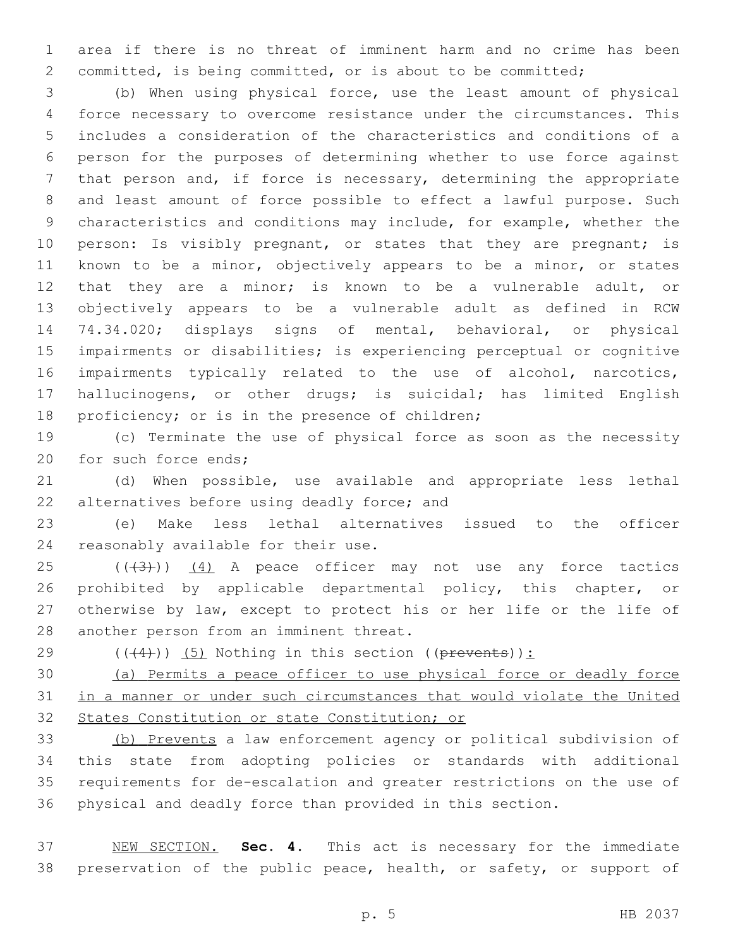area if there is no threat of imminent harm and no crime has been committed, is being committed, or is about to be committed;

 (b) When using physical force, use the least amount of physical force necessary to overcome resistance under the circumstances. This includes a consideration of the characteristics and conditions of a person for the purposes of determining whether to use force against that person and, if force is necessary, determining the appropriate and least amount of force possible to effect a lawful purpose. Such characteristics and conditions may include, for example, whether the 10 person: Is visibly pregnant, or states that they are pregnant; is known to be a minor, objectively appears to be a minor, or states that they are a minor; is known to be a vulnerable adult, or objectively appears to be a vulnerable adult as defined in RCW 74.34.020; displays signs of mental, behavioral, or physical impairments or disabilities; is experiencing perceptual or cognitive impairments typically related to the use of alcohol, narcotics, hallucinogens, or other drugs; is suicidal; has limited English 18 proficiency; or is in the presence of children;

 (c) Terminate the use of physical force as soon as the necessity 20 for such force ends;

 (d) When possible, use available and appropriate less lethal 22 alternatives before using deadly force; and

 (e) Make less lethal alternatives issued to the officer 24 reasonably available for their use.

 ( $(\overline{3})$ )  $(4)$  A peace officer may not use any force tactics 26 prohibited by applicable departmental policy, this chapter, or otherwise by law, except to protect his or her life or the life of 28 another person from an imminent threat.

29  $((+4))$   $(5)$  Nothing in this section ((prevents)):

 (a) Permits a peace officer to use physical force or deadly force in a manner or under such circumstances that would violate the United States Constitution or state Constitution; or

 (b) Prevents a law enforcement agency or political subdivision of this state from adopting policies or standards with additional requirements for de-escalation and greater restrictions on the use of physical and deadly force than provided in this section.

 NEW SECTION. **Sec. 4.** This act is necessary for the immediate 38 preservation of the public peace, health, or safety, or support of